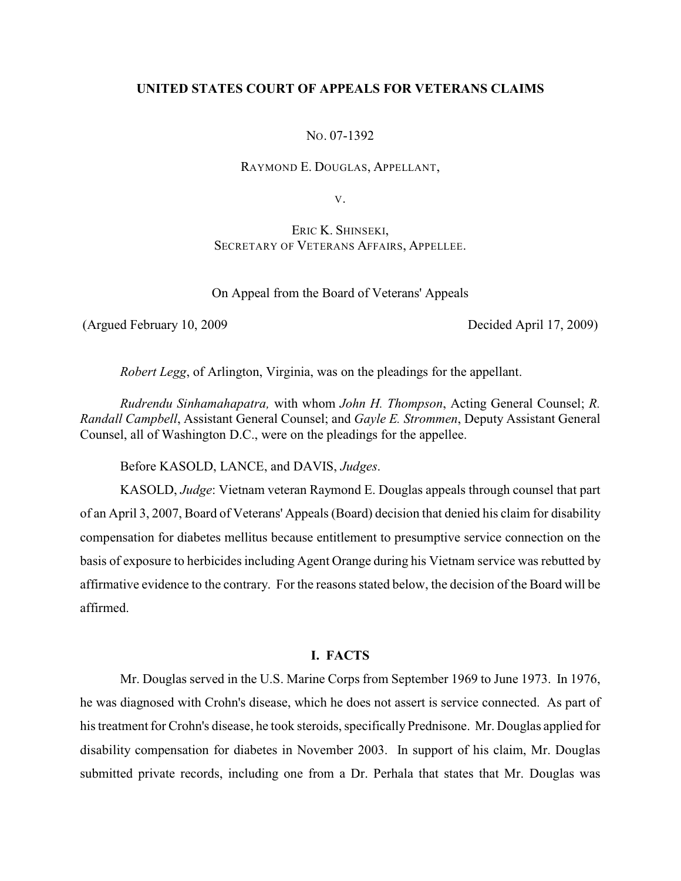## **UNITED STATES COURT OF APPEALS FOR VETERANS CLAIMS**

NO. 07-1392

RAYMOND E. DOUGLAS, APPELLANT,

V.

ERIC K. SHINSEKI, SECRETARY OF VETERANS AFFAIRS, APPELLEE.

On Appeal from the Board of Veterans' Appeals

(Argued February 10, 2009 Decided April 17, 2009)

*Robert Legg*, of Arlington, Virginia, was on the pleadings for the appellant.

*Rudrendu Sinhamahapatra,* with whom *John H. Thompson*, Acting General Counsel; *R. Randall Campbell*, Assistant General Counsel; and *Gayle E. Strommen*, Deputy Assistant General Counsel, all of Washington D.C., were on the pleadings for the appellee.

Before KASOLD, LANCE, and DAVIS, *Judges*.

KASOLD, *Judge*: Vietnam veteran Raymond E. Douglas appeals through counsel that part of an April 3, 2007, Board of Veterans' Appeals (Board) decision that denied his claim for disability compensation for diabetes mellitus because entitlement to presumptive service connection on the basis of exposure to herbicides including Agent Orange during his Vietnam service was rebutted by affirmative evidence to the contrary. For the reasons stated below, the decision of the Board will be affirmed.

# **I. FACTS**

Mr. Douglas served in the U.S. Marine Corps from September 1969 to June 1973. In 1976, he was diagnosed with Crohn's disease, which he does not assert is service connected. As part of his treatment for Crohn's disease, he took steroids, specifically Prednisone. Mr. Douglas applied for disability compensation for diabetes in November 2003. In support of his claim, Mr. Douglas submitted private records, including one from a Dr. Perhala that states that Mr. Douglas was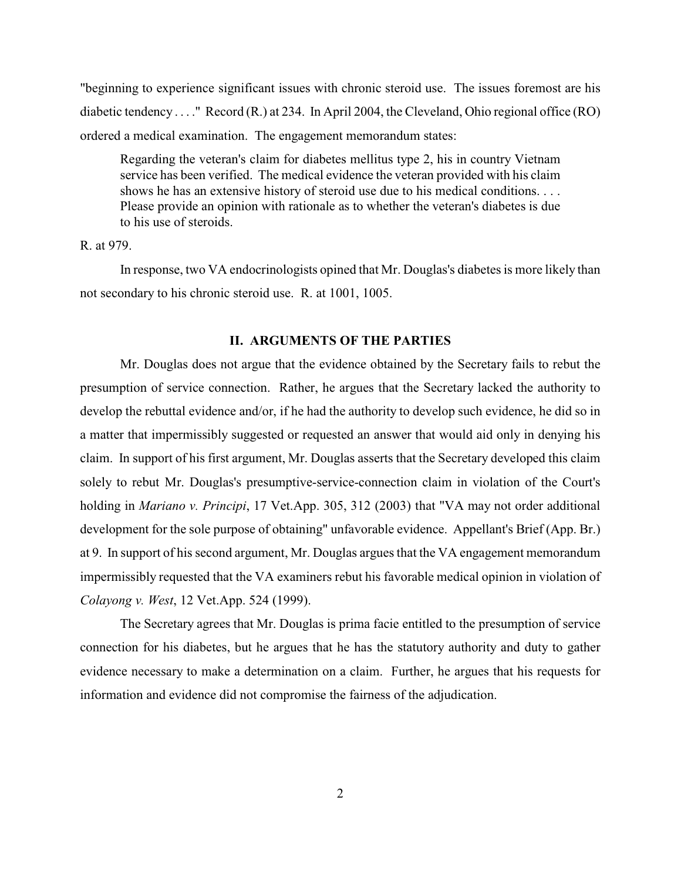"beginning to experience significant issues with chronic steroid use. The issues foremost are his diabetic tendency . . . ." Record (R.) at 234. In April 2004, the Cleveland, Ohio regional office (RO) ordered a medical examination. The engagement memorandum states:

Regarding the veteran's claim for diabetes mellitus type 2, his in country Vietnam service has been verified. The medical evidence the veteran provided with his claim shows he has an extensive history of steroid use due to his medical conditions. . . . Please provide an opinion with rationale as to whether the veteran's diabetes is due to his use of steroids.

# R. at 979.

In response, two VA endocrinologists opined that Mr. Douglas's diabetes is more likely than not secondary to his chronic steroid use. R. at 1001, 1005.

## **II. ARGUMENTS OF THE PARTIES**

Mr. Douglas does not argue that the evidence obtained by the Secretary fails to rebut the presumption of service connection. Rather, he argues that the Secretary lacked the authority to develop the rebuttal evidence and/or, if he had the authority to develop such evidence, he did so in a matter that impermissibly suggested or requested an answer that would aid only in denying his claim. In support of his first argument, Mr. Douglas asserts that the Secretary developed this claim solely to rebut Mr. Douglas's presumptive-service-connection claim in violation of the Court's holding in *Mariano v. Principi*, 17 Vet.App. 305, 312 (2003) that "VA may not order additional development for the sole purpose of obtaining" unfavorable evidence. Appellant's Brief (App. Br.) at 9. In support of his second argument, Mr. Douglas argues that the VA engagement memorandum impermissibly requested that the VA examiners rebut his favorable medical opinion in violation of *Colayong v. West*, 12 Vet.App. 524 (1999).

The Secretary agrees that Mr. Douglas is prima facie entitled to the presumption of service connection for his diabetes, but he argues that he has the statutory authority and duty to gather evidence necessary to make a determination on a claim. Further, he argues that his requests for information and evidence did not compromise the fairness of the adjudication.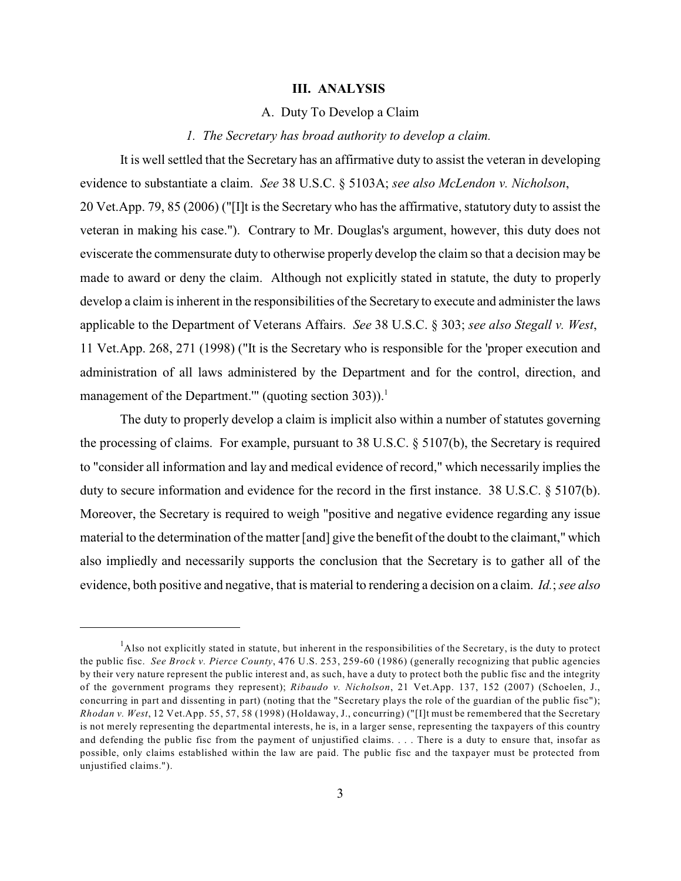#### **III. ANALYSIS**

### A. Duty To Develop a Claim

#### *1. The Secretary has broad authority to develop a claim.*

It is well settled that the Secretary has an affirmative duty to assist the veteran in developing evidence to substantiate a claim. *See* 38 U.S.C. § 5103A; *see also McLendon v. Nicholson*, 20 Vet.App. 79, 85 (2006) ("[I]t is the Secretary who has the affirmative, statutory duty to assist the veteran in making his case."). Contrary to Mr. Douglas's argument, however, this duty does not eviscerate the commensurate duty to otherwise properly develop the claim so that a decision may be made to award or deny the claim. Although not explicitly stated in statute, the duty to properly develop a claim is inherent in the responsibilities of the Secretary to execute and administer the laws applicable to the Department of Veterans Affairs. *See* 38 U.S.C. § 303; *see also Stegall v. West*, 11 Vet.App. 268, 271 (1998) ("It is the Secretary who is responsible for the 'proper execution and administration of all laws administered by the Department and for the control, direction, and management of the Department."' (quoting section  $303$ )).<sup>1</sup>

The duty to properly develop a claim is implicit also within a number of statutes governing the processing of claims. For example, pursuant to 38 U.S.C. § 5107(b), the Secretary is required to "consider all information and lay and medical evidence of record," which necessarily implies the duty to secure information and evidence for the record in the first instance. 38 U.S.C. § 5107(b). Moreover, the Secretary is required to weigh "positive and negative evidence regarding any issue material to the determination of the matter [and] give the benefit of the doubt to the claimant," which also impliedly and necessarily supports the conclusion that the Secretary is to gather all of the evidence, both positive and negative, that is material to rendering a decision on a claim. *Id.*; *see also*

 $<sup>1</sup>$ Also not explicitly stated in statute, but inherent in the responsibilities of the Secretary, is the duty to protect</sup> the public fisc. *See Brock v. Pierce County*, 476 U.S. 253, 259-60 (1986) (generally recognizing that public agencies by their very nature represent the public interest and, as such, have a duty to protect both the public fisc and the integrity of the government programs they represent); *Ribaudo v. Nicholson*, 21 Vet.App. 137, 152 (2007) (Schoelen, J., concurring in part and dissenting in part) (noting that the "Secretary plays the role of the guardian of the public fisc"); *Rhodan v. West*, 12 Vet.App. 55, 57, 58 (1998) (Holdaway, J., concurring) ("[I]t must be remembered that the Secretary is not merely representing the departmental interests, he is, in a larger sense, representing the taxpayers of this country and defending the public fisc from the payment of unjustified claims. . . . There is a duty to ensure that, insofar as possible, only claims established within the law are paid. The public fisc and the taxpayer must be protected from unjustified claims.").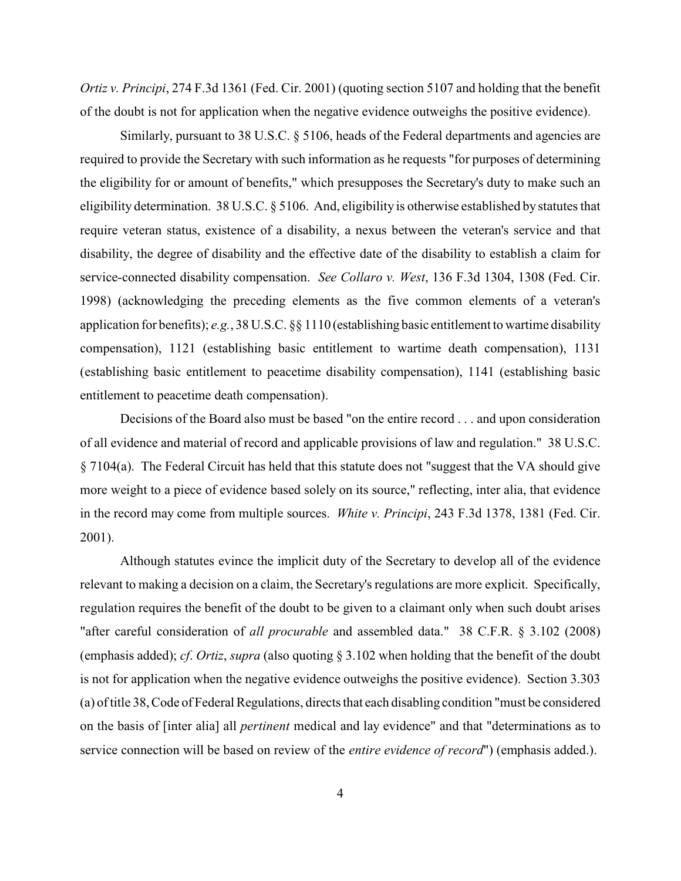*Ortiz v. Principi*, 274 F.3d 1361 (Fed. Cir. 2001) (quoting section 5107 and holding that the benefit of the doubt is not for application when the negative evidence outweighs the positive evidence).

Similarly, pursuant to 38 U.S.C. § 5106, heads of the Federal departments and agencies are required to provide the Secretary with such information as he requests "for purposes of determining the eligibility for or amount of benefits," which presupposes the Secretary's duty to make such an eligibility determination. 38 U.S.C. § 5106. And, eligibility is otherwise established by statutes that require veteran status, existence of a disability, a nexus between the veteran's service and that disability, the degree of disability and the effective date of the disability to establish a claim for service-connected disability compensation. *See Collaro v. West*, 136 F.3d 1304, 1308 (Fed. Cir. 1998) (acknowledging the preceding elements as the five common elements of a veteran's application for benefits); *e.g.*, 38 U.S.C. §§ 1110 (establishing basic entitlement to wartime disability compensation), 1121 (establishing basic entitlement to wartime death compensation), 1131 (establishing basic entitlement to peacetime disability compensation), 1141 (establishing basic entitlement to peacetime death compensation).

Decisions of the Board also must be based "on the entire record . . . and upon consideration of all evidence and material of record and applicable provisions of law and regulation." 38 U.S.C. § 7104(a). The Federal Circuit has held that this statute does not "suggest that the VA should give more weight to a piece of evidence based solely on its source," reflecting, inter alia, that evidence in the record may come from multiple sources. *White v. Principi*, 243 F.3d 1378, 1381 (Fed. Cir. 2001).

Although statutes evince the implicit duty of the Secretary to develop all of the evidence relevant to making a decision on a claim, the Secretary's regulations are more explicit. Specifically, regulation requires the benefit of the doubt to be given to a claimant only when such doubt arises "after careful consideration of *all procurable* and assembled data." 38 C.F.R. § 3.102 (2008) (emphasis added); *cf*. *Ortiz*, *supra* (also quoting § 3.102 when holding that the benefit of the doubt is not for application when the negative evidence outweighs the positive evidence). Section 3.303 (a) of title 38, Code of Federal Regulations, directs that each disabling condition "must be considered on the basis of [inter alia] all *pertinent* medical and lay evidence" and that "determinations as to service connection will be based on review of the *entire evidence of record*") (emphasis added.).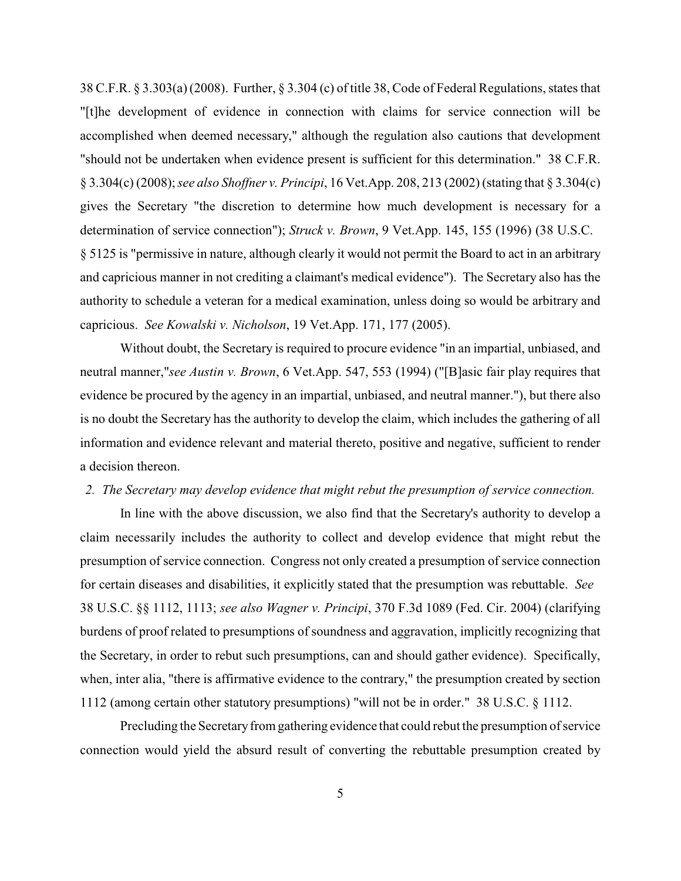38 C.F.R. § 3.303(a) (2008). Further, § 3.304 (c) of title 38, Code of Federal Regulations, states that "[t]he development of evidence in connection with claims for service connection will be accomplished when deemed necessary," although the regulation also cautions that development "should not be undertaken when evidence present is sufficient for this determination." 38 C.F.R. § 3.304(c) (2008);*see also Shoffner v. Principi*, 16 Vet.App. 208, 213 (2002) (stating that § 3.304(c) gives the Secretary "the discretion to determine how much development is necessary for a determination of service connection"); *Struck v. Brown*, 9 Vet.App. 145, 155 (1996) (38 U.S.C. § 5125 is "permissive in nature, although clearly it would not permit the Board to act in an arbitrary and capricious manner in not crediting a claimant's medical evidence"). The Secretary also has the authority to schedule a veteran for a medical examination, unless doing so would be arbitrary and capricious. *See Kowalski v. Nicholson*, 19 Vet.App. 171, 177 (2005).

Without doubt, the Secretary is required to procure evidence "in an impartial, unbiased, and neutral manner,"*see Austin v. Brown*, 6 Vet.App. 547, 553 (1994) ("[B]asic fair play requires that evidence be procured by the agency in an impartial, unbiased, and neutral manner."), but there also is no doubt the Secretary has the authority to develop the claim, which includes the gathering of all information and evidence relevant and material thereto, positive and negative, sufficient to render a decision thereon.

### *2. The Secretary may develop evidence that might rebut the presumption of service connection.*

In line with the above discussion, we also find that the Secretary's authority to develop a claim necessarily includes the authority to collect and develop evidence that might rebut the presumption of service connection. Congress not only created a presumption of service connection for certain diseases and disabilities, it explicitly stated that the presumption was rebuttable. *See*  38 U.S.C. §§ 1112, 1113; *see also Wagner v. Principi*, 370 F.3d 1089 (Fed. Cir. 2004) (clarifying burdens of proof related to presumptions of soundness and aggravation, implicitly recognizing that the Secretary, in order to rebut such presumptions, can and should gather evidence). Specifically, when, inter alia, "there is affirmative evidence to the contrary," the presumption created by section 1112 (among certain other statutory presumptions) "will not be in order." 38 U.S.C. § 1112.

Precluding the Secretary from gathering evidence that could rebut the presumption of service connection would yield the absurd result of converting the rebuttable presumption created by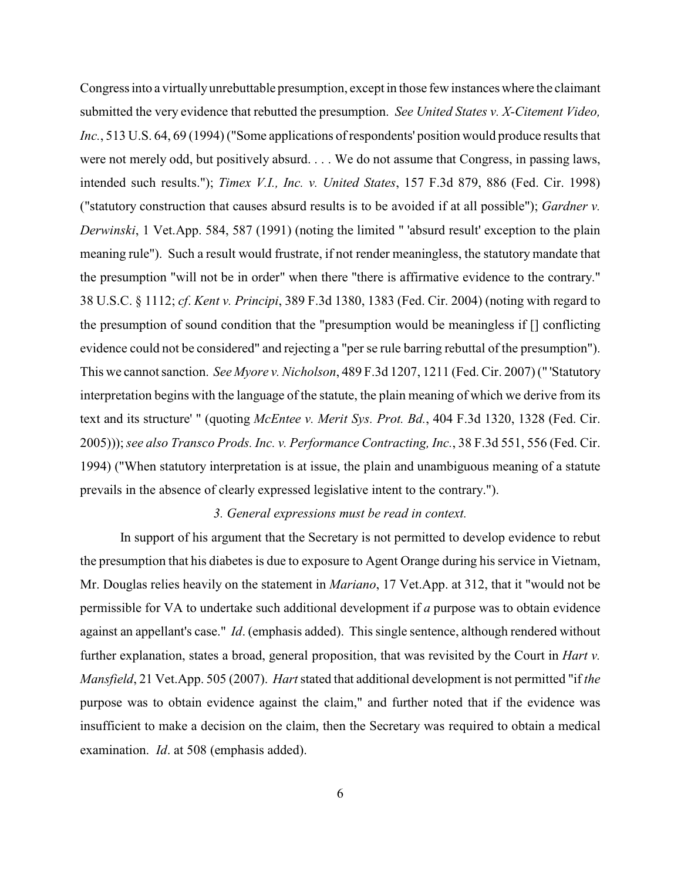Congress into a virtually unrebuttable presumption, except in those few instances where the claimant submitted the very evidence that rebutted the presumption. *See United States v. X-Citement Video, Inc.*, 513 U.S. 64, 69 (1994) ("Some applications of respondents' position would produce results that were not merely odd, but positively absurd. . . . We do not assume that Congress, in passing laws, intended such results."); *Timex V.I., Inc. v. United States*, 157 F.3d 879, 886 (Fed. Cir. 1998) ("statutory construction that causes absurd results is to be avoided if at all possible"); *Gardner v. Derwinski*, 1 Vet.App. 584, 587 (1991) (noting the limited " 'absurd result' exception to the plain meaning rule"). Such a result would frustrate, if not render meaningless, the statutory mandate that the presumption "will not be in order" when there "there is affirmative evidence to the contrary." 38 U.S.C. § 1112; *cf*. *Kent v. Principi*, 389 F.3d 1380, 1383 (Fed. Cir. 2004) (noting with regard to the presumption of sound condition that the "presumption would be meaningless if [] conflicting evidence could not be considered" and rejecting a "per se rule barring rebuttal of the presumption"). This we cannot sanction. *See Myore v. Nicholson*, 489 F.3d 1207, 1211 (Fed. Cir. 2007) (" 'Statutory interpretation begins with the language of the statute, the plain meaning of which we derive from its text and its structure' " (quoting *McEntee v. Merit Sys. Prot. Bd.*, 404 F.3d 1320, 1328 (Fed. Cir. 2005)));*see also Transco Prods. Inc. v. Performance Contracting, Inc.*, 38 F.3d 551, 556 (Fed. Cir. 1994) ("When statutory interpretation is at issue, the plain and unambiguous meaning of a statute prevails in the absence of clearly expressed legislative intent to the contrary.").

### *3. General expressions must be read in context.*

In support of his argument that the Secretary is not permitted to develop evidence to rebut the presumption that his diabetes is due to exposure to Agent Orange during his service in Vietnam, Mr. Douglas relies heavily on the statement in *Mariano*, 17 Vet.App. at 312, that it "would not be permissible for VA to undertake such additional development if *a* purpose was to obtain evidence against an appellant's case." *Id*. (emphasis added). This single sentence, although rendered without further explanation, states a broad, general proposition, that was revisited by the Court in *Hart v. Mansfield*, 21 Vet.App. 505 (2007). *Hart*stated that additional development is not permitted "if *the* purpose was to obtain evidence against the claim," and further noted that if the evidence was insufficient to make a decision on the claim, then the Secretary was required to obtain a medical examination. *Id*. at 508 (emphasis added).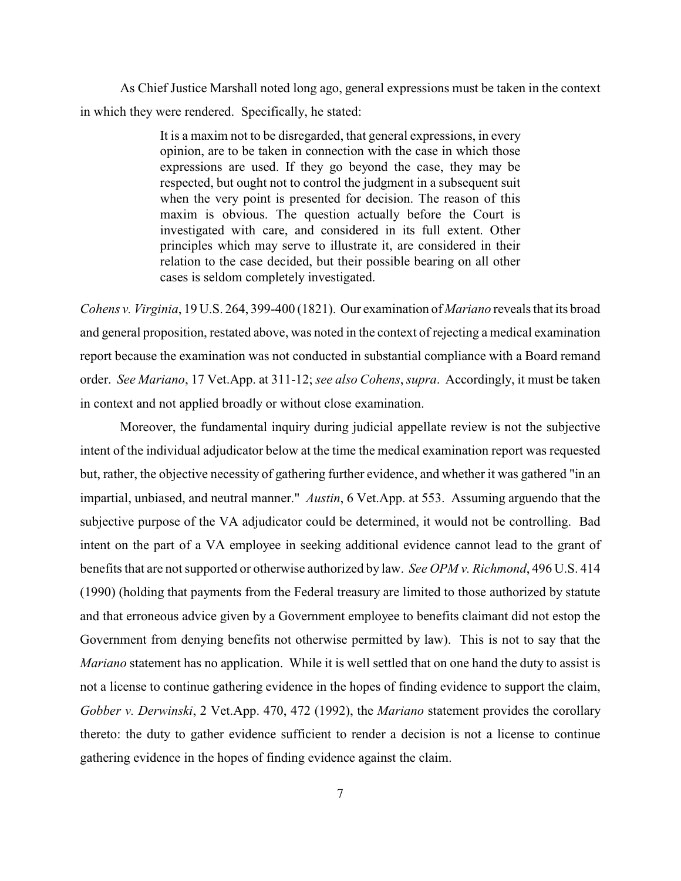As Chief Justice Marshall noted long ago, general expressions must be taken in the context in which they were rendered. Specifically, he stated:

> It is a maxim not to be disregarded, that general expressions, in every opinion, are to be taken in connection with the case in which those expressions are used. If they go beyond the case, they may be respected, but ought not to control the judgment in a subsequent suit when the very point is presented for decision. The reason of this maxim is obvious. The question actually before the Court is investigated with care, and considered in its full extent. Other principles which may serve to illustrate it, are considered in their relation to the case decided, but their possible bearing on all other cases is seldom completely investigated.

*Cohens v. Virginia*, 19 U.S. 264, 399-400 (1821). Our examination of *Mariano* reveals that its broad and general proposition, restated above, was noted in the context of rejecting a medical examination report because the examination was not conducted in substantial compliance with a Board remand order. *See Mariano*, 17 Vet.App. at 311-12; *see also Cohens*, *supra*. Accordingly, it must be taken in context and not applied broadly or without close examination.

Moreover, the fundamental inquiry during judicial appellate review is not the subjective intent of the individual adjudicator below at the time the medical examination report was requested but, rather, the objective necessity of gathering further evidence, and whether it was gathered "in an impartial, unbiased, and neutral manner." *Austin*, 6 Vet.App. at 553. Assuming arguendo that the subjective purpose of the VA adjudicator could be determined, it would not be controlling. Bad intent on the part of a VA employee in seeking additional evidence cannot lead to the grant of benefits that are not supported or otherwise authorized by law. *See OPM v. Richmond*, 496 U.S. 414 (1990) (holding that payments from the Federal treasury are limited to those authorized by statute and that erroneous advice given by a Government employee to benefits claimant did not estop the Government from denying benefits not otherwise permitted by law). This is not to say that the *Mariano* statement has no application. While it is well settled that on one hand the duty to assist is not a license to continue gathering evidence in the hopes of finding evidence to support the claim, *Gobber v. Derwinski*, 2 Vet.App. 470, 472 (1992), the *Mariano* statement provides the corollary thereto: the duty to gather evidence sufficient to render a decision is not a license to continue gathering evidence in the hopes of finding evidence against the claim.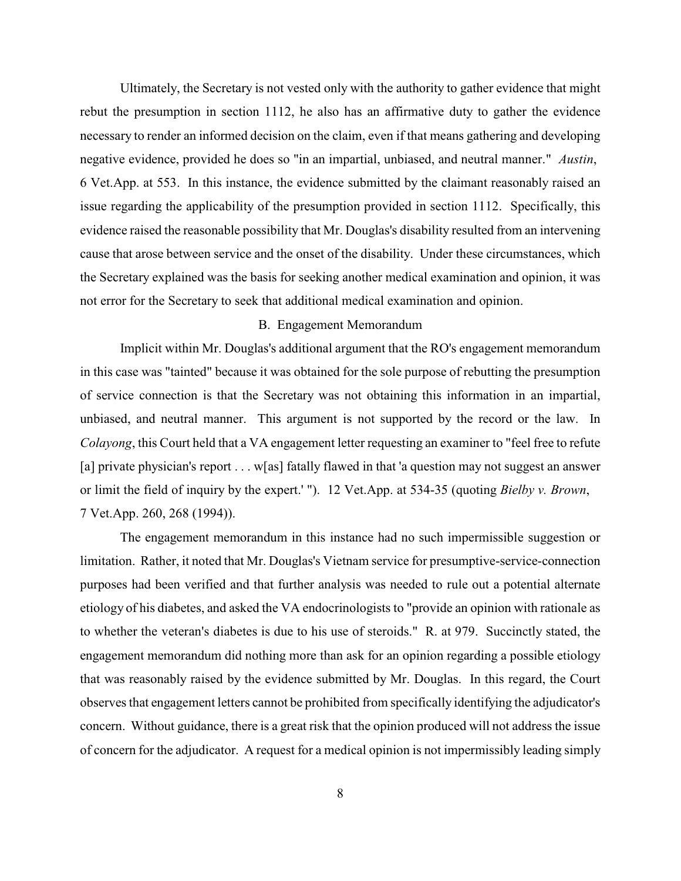Ultimately, the Secretary is not vested only with the authority to gather evidence that might rebut the presumption in section 1112, he also has an affirmative duty to gather the evidence necessary to render an informed decision on the claim, even if that means gathering and developing negative evidence, provided he does so "in an impartial, unbiased, and neutral manner." *Austin*, 6 Vet.App. at 553. In this instance, the evidence submitted by the claimant reasonably raised an issue regarding the applicability of the presumption provided in section 1112. Specifically, this evidence raised the reasonable possibility that Mr. Douglas's disability resulted from an intervening cause that arose between service and the onset of the disability. Under these circumstances, which the Secretary explained was the basis for seeking another medical examination and opinion, it was not error for the Secretary to seek that additional medical examination and opinion.

# B. Engagement Memorandum

Implicit within Mr. Douglas's additional argument that the RO's engagement memorandum in this case was "tainted" because it was obtained for the sole purpose of rebutting the presumption of service connection is that the Secretary was not obtaining this information in an impartial, unbiased, and neutral manner. This argument is not supported by the record or the law. In *Colayong*, this Court held that a VA engagement letter requesting an examiner to "feel free to refute [a] private physician's report . . . w[as] fatally flawed in that 'a question may not suggest an answer or limit the field of inquiry by the expert.' "). 12 Vet.App. at 534-35 (quoting *Bielby v. Brown*, 7 Vet.App. 260, 268 (1994)).

The engagement memorandum in this instance had no such impermissible suggestion or limitation. Rather, it noted that Mr. Douglas's Vietnam service for presumptive-service-connection purposes had been verified and that further analysis was needed to rule out a potential alternate etiology of his diabetes, and asked the VA endocrinologists to "provide an opinion with rationale as to whether the veteran's diabetes is due to his use of steroids." R. at 979. Succinctly stated, the engagement memorandum did nothing more than ask for an opinion regarding a possible etiology that was reasonably raised by the evidence submitted by Mr. Douglas. In this regard, the Court observesthat engagement letters cannot be prohibited from specifically identifying the adjudicator's concern. Without guidance, there is a great risk that the opinion produced will not address the issue of concern for the adjudicator. A request for a medical opinion is not impermissibly leading simply